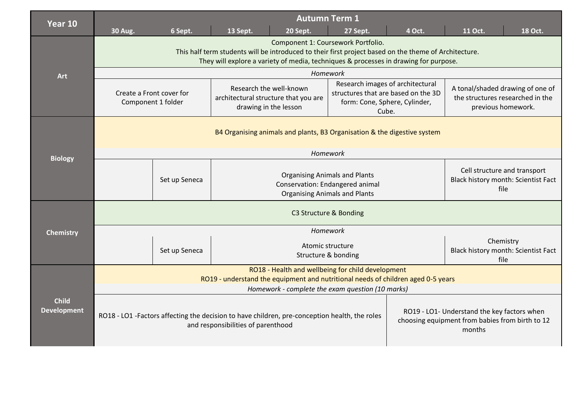| Year 10                            |                                                                                                                                                                                                                                                                                                                                      |               |                                                                                                                                                                                                               | <b>Autumn Term 1</b>                    |      |                                                                                            |  |                                                                                                |  |  |
|------------------------------------|--------------------------------------------------------------------------------------------------------------------------------------------------------------------------------------------------------------------------------------------------------------------------------------------------------------------------------------|---------------|---------------------------------------------------------------------------------------------------------------------------------------------------------------------------------------------------------------|-----------------------------------------|------|--------------------------------------------------------------------------------------------|--|------------------------------------------------------------------------------------------------|--|--|
|                                    | 6 Sept.<br>13 Sept.<br>4 Oct.<br>11 Oct.<br>18 Oct.<br><b>30 Aug.</b><br>20 Sept.<br>27 Sept.<br>Component 1: Coursework Portfolio.<br>This half term students will be introduced to their first project based on the theme of Architecture.<br>They will explore a variety of media, techniques & processes in drawing for purpose. |               |                                                                                                                                                                                                               |                                         |      |                                                                                            |  |                                                                                                |  |  |
| Art                                | Homework                                                                                                                                                                                                                                                                                                                             |               |                                                                                                                                                                                                               |                                         |      |                                                                                            |  |                                                                                                |  |  |
|                                    | Create a Front cover for<br>Component 1 folder                                                                                                                                                                                                                                                                                       |               | Research images of architectural<br>Research the well-known<br>structures that are based on the 3D<br>architectural structure that you are<br>form: Cone, Sphere, Cylinder,<br>drawing in the lesson<br>Cube. |                                         |      | A tonal/shaded drawing of one of<br>the structures researched in the<br>previous homework. |  |                                                                                                |  |  |
|                                    | B4 Organising animals and plants, B3 Organisation & the digestive system                                                                                                                                                                                                                                                             |               |                                                                                                                                                                                                               |                                         |      |                                                                                            |  |                                                                                                |  |  |
| <b>Biology</b>                     | Homework                                                                                                                                                                                                                                                                                                                             |               |                                                                                                                                                                                                               |                                         |      |                                                                                            |  |                                                                                                |  |  |
|                                    | <b>Organising Animals and Plants</b><br>Set up Seneca<br>Conservation: Endangered animal<br><b>Organising Animals and Plants</b>                                                                                                                                                                                                     |               |                                                                                                                                                                                                               |                                         |      | Cell structure and transport<br>Black history month: Scientist Fact<br>file                |  |                                                                                                |  |  |
|                                    | C3 Structure & Bonding                                                                                                                                                                                                                                                                                                               |               |                                                                                                                                                                                                               |                                         |      |                                                                                            |  |                                                                                                |  |  |
| <b>Chemistry</b>                   | Homework                                                                                                                                                                                                                                                                                                                             |               |                                                                                                                                                                                                               |                                         |      |                                                                                            |  |                                                                                                |  |  |
|                                    |                                                                                                                                                                                                                                                                                                                                      | Set up Seneca |                                                                                                                                                                                                               | Atomic structure<br>Structure & bonding | file | Chemistry<br>Black history month: Scientist Fact                                           |  |                                                                                                |  |  |
|                                    | RO18 - Health and wellbeing for child development<br>RO19 - understand the equipment and nutritional needs of children aged 0-5 years                                                                                                                                                                                                |               |                                                                                                                                                                                                               |                                         |      |                                                                                            |  |                                                                                                |  |  |
| <b>Child</b><br><b>Development</b> | Homework - complete the exam question (10 marks)                                                                                                                                                                                                                                                                                     |               |                                                                                                                                                                                                               |                                         |      |                                                                                            |  |                                                                                                |  |  |
|                                    | RO18 - LO1 -Factors affecting the decision to have children, pre-conception health, the roles<br>and responsibilities of parenthood                                                                                                                                                                                                  |               |                                                                                                                                                                                                               |                                         |      |                                                                                            |  | RO19 - LO1- Understand the key factors when<br>choosing equipment from babies from birth to 12 |  |  |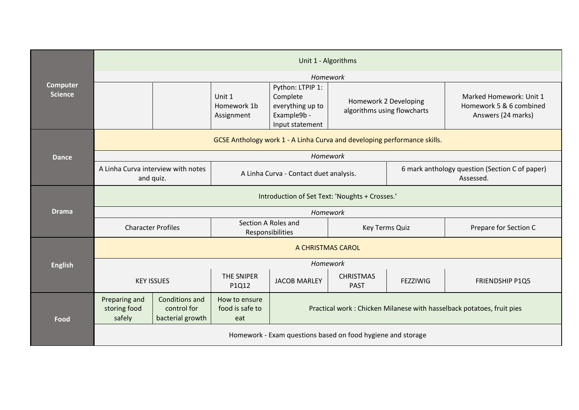| <b>Computer</b><br><b>Science</b> | Unit 1 - Algorithms                                                      |                                                          |                                         |                                                                                    |                                                      |                                                             |                                                                          |  |  |  |
|-----------------------------------|--------------------------------------------------------------------------|----------------------------------------------------------|-----------------------------------------|------------------------------------------------------------------------------------|------------------------------------------------------|-------------------------------------------------------------|--------------------------------------------------------------------------|--|--|--|
|                                   | Homework                                                                 |                                                          |                                         |                                                                                    |                                                      |                                                             |                                                                          |  |  |  |
|                                   |                                                                          |                                                          | Unit 1<br>Homework 1b<br>Assignment     | Python: LTPIP 1:<br>Complete<br>everything up to<br>Example9b -<br>Input statement | Homework 2 Developing<br>algorithms using flowcharts |                                                             | Marked Homework: Unit 1<br>Homework 5 & 6 combined<br>Answers (24 marks) |  |  |  |
|                                   | GCSE Anthology work 1 - A Linha Curva and developing performance skills. |                                                          |                                         |                                                                                    |                                                      |                                                             |                                                                          |  |  |  |
| <b>Dance</b>                      | Homework                                                                 |                                                          |                                         |                                                                                    |                                                      |                                                             |                                                                          |  |  |  |
|                                   | A Linha Curva interview with notes<br>and quiz.                          |                                                          | A Linha Curva - Contact duet analysis.  |                                                                                    |                                                      | 6 mark anthology question (Section C of paper)<br>Assessed. |                                                                          |  |  |  |
|                                   | Introduction of Set Text: 'Noughts + Crosses.'                           |                                                          |                                         |                                                                                    |                                                      |                                                             |                                                                          |  |  |  |
| <b>Drama</b>                      | Homework                                                                 |                                                          |                                         |                                                                                    |                                                      |                                                             |                                                                          |  |  |  |
|                                   | <b>Character Profiles</b>                                                |                                                          | Section A Roles and<br>Responsibilities |                                                                                    | Key Terms Quiz                                       |                                                             | Prepare for Section C                                                    |  |  |  |
|                                   | A CHRISTMAS CAROL                                                        |                                                          |                                         |                                                                                    |                                                      |                                                             |                                                                          |  |  |  |
| <b>English</b>                    | Homework                                                                 |                                                          |                                         |                                                                                    |                                                      |                                                             |                                                                          |  |  |  |
|                                   | <b>KEY ISSUES</b>                                                        |                                                          | THE SNIPER<br>P1Q12                     | <b>JACOB MARLEY</b>                                                                | <b>CHRISTMAS</b><br><b>PAST</b>                      | <b>FEZZIWIG</b>                                             | FRIENDSHIP P1Q5                                                          |  |  |  |
| Food                              | Preparing and<br>storing food<br>safely                                  | <b>Conditions and</b><br>control for<br>bacterial growth | How to ensure<br>food is safe to<br>eat | Practical work: Chicken Milanese with hasselback potatoes, fruit pies              |                                                      |                                                             |                                                                          |  |  |  |
|                                   | Homework - Exam questions based on food hygiene and storage              |                                                          |                                         |                                                                                    |                                                      |                                                             |                                                                          |  |  |  |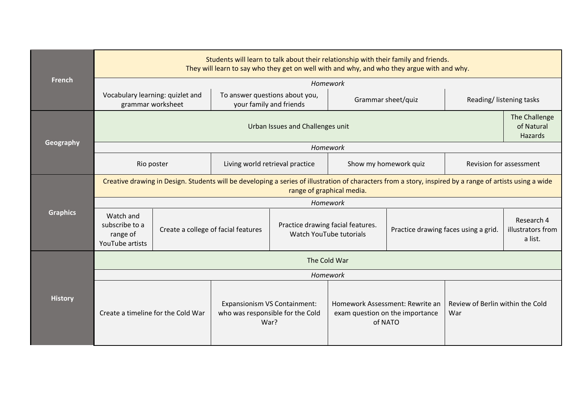| <b>French</b>   | Students will learn to talk about their relationship with their family and friends.<br>They will learn to say who they get on well with and why, and who they argue with and why.     |                                     |                                                           |                                                                          |                                                                               |                                      |                                         |                                            |  |  |  |
|-----------------|---------------------------------------------------------------------------------------------------------------------------------------------------------------------------------------|-------------------------------------|-----------------------------------------------------------|--------------------------------------------------------------------------|-------------------------------------------------------------------------------|--------------------------------------|-----------------------------------------|--------------------------------------------|--|--|--|
|                 | Homework                                                                                                                                                                              |                                     |                                                           |                                                                          |                                                                               |                                      |                                         |                                            |  |  |  |
|                 | Vocabulary learning: quizlet and<br>grammar worksheet                                                                                                                                 |                                     | To answer questions about you,<br>your family and friends |                                                                          | Grammar sheet/quiz                                                            |                                      | Reading/Iistening tasks                 |                                            |  |  |  |
| Geography       | Urban Issues and Challenges unit                                                                                                                                                      |                                     |                                                           |                                                                          |                                                                               |                                      |                                         |                                            |  |  |  |
|                 |                                                                                                                                                                                       |                                     |                                                           |                                                                          | Homework                                                                      |                                      |                                         |                                            |  |  |  |
|                 | Rio poster                                                                                                                                                                            |                                     | Living world retrieval practice                           |                                                                          | Show my homework quiz                                                         |                                      | Revision for assessment                 |                                            |  |  |  |
|                 | Creative drawing in Design. Students will be developing a series of illustration of characters from a story, inspired by a range of artists using a wide<br>range of graphical media. |                                     |                                                           |                                                                          |                                                                               |                                      |                                         |                                            |  |  |  |
|                 | Homework                                                                                                                                                                              |                                     |                                                           |                                                                          |                                                                               |                                      |                                         |                                            |  |  |  |
| <b>Graphics</b> | Watch and<br>subscribe to a<br>range of<br>YouTube artists                                                                                                                            | Create a college of facial features |                                                           | Practice drawing facial features.<br>Watch YouTube tutorials             |                                                                               | Practice drawing faces using a grid. |                                         | Research 4<br>illustrators from<br>a list. |  |  |  |
|                 | The Cold War                                                                                                                                                                          |                                     |                                                           |                                                                          |                                                                               |                                      |                                         |                                            |  |  |  |
|                 | Homework                                                                                                                                                                              |                                     |                                                           |                                                                          |                                                                               |                                      |                                         |                                            |  |  |  |
| <b>History</b>  | Create a timeline for the Cold War                                                                                                                                                    |                                     |                                                           | Expansionism VS Containment:<br>who was responsible for the Cold<br>War? | Homework Assessment: Rewrite an<br>exam question on the importance<br>of NATO |                                      | Review of Berlin within the Cold<br>War |                                            |  |  |  |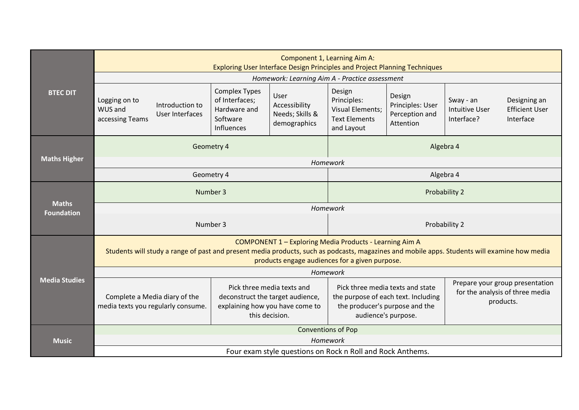|                                   | Component 1, Learning Aim A:<br>Exploring User Interface Design Principles and Project Planning Techniques                                                                                                                                                       |                                                                                  |                                                               |                                                                                                                                                                                                                     |                                                           |                                                  |                                                    |  |  |  |  |
|-----------------------------------|------------------------------------------------------------------------------------------------------------------------------------------------------------------------------------------------------------------------------------------------------------------|----------------------------------------------------------------------------------|---------------------------------------------------------------|---------------------------------------------------------------------------------------------------------------------------------------------------------------------------------------------------------------------|-----------------------------------------------------------|--------------------------------------------------|----------------------------------------------------|--|--|--|--|
|                                   |                                                                                                                                                                                                                                                                  |                                                                                  | Homework: Learning Aim A - Practice assessment                |                                                                                                                                                                                                                     |                                                           |                                                  |                                                    |  |  |  |  |
| <b>BTEC DIT</b>                   | Logging on to<br>Introduction to<br>WUS and<br>User Interfaces<br>accessing Teams                                                                                                                                                                                | <b>Complex Types</b><br>of Interfaces;<br>Hardware and<br>Software<br>Influences | User<br>Accessibility<br>Needs; Skills &<br>demographics      | Design<br>Principles:<br><b>Visual Elements;</b><br><b>Text Elements</b><br>and Layout                                                                                                                              | Design<br>Principles: User<br>Perception and<br>Attention | Sway - an<br><b>Intuitive User</b><br>Interface? | Designing an<br><b>Efficient User</b><br>Interface |  |  |  |  |
|                                   |                                                                                                                                                                                                                                                                  | Geometry 4                                                                       |                                                               | Algebra 4                                                                                                                                                                                                           |                                                           |                                                  |                                                    |  |  |  |  |
| <b>Maths Higher</b>               |                                                                                                                                                                                                                                                                  |                                                                                  | Homework                                                      |                                                                                                                                                                                                                     |                                                           |                                                  |                                                    |  |  |  |  |
|                                   | Geometry 4                                                                                                                                                                                                                                                       | Algebra 4                                                                        |                                                               |                                                                                                                                                                                                                     |                                                           |                                                  |                                                    |  |  |  |  |
|                                   | Number 3                                                                                                                                                                                                                                                         | Probability 2                                                                    |                                                               |                                                                                                                                                                                                                     |                                                           |                                                  |                                                    |  |  |  |  |
| <b>Maths</b><br><b>Foundation</b> | Homework                                                                                                                                                                                                                                                         |                                                                                  |                                                               |                                                                                                                                                                                                                     |                                                           |                                                  |                                                    |  |  |  |  |
|                                   |                                                                                                                                                                                                                                                                  | Number 3                                                                         |                                                               |                                                                                                                                                                                                                     |                                                           | Probability 2                                    |                                                    |  |  |  |  |
|                                   | <b>COMPONENT 1 - Exploring Media Products - Learning Aim A</b><br>Students will study a range of past and present media products, such as podcasts, magazines and mobile apps. Students will examine how media<br>products engage audiences for a given purpose. |                                                                                  |                                                               |                                                                                                                                                                                                                     |                                                           |                                                  |                                                    |  |  |  |  |
|                                   | Homework                                                                                                                                                                                                                                                         |                                                                                  |                                                               |                                                                                                                                                                                                                     |                                                           |                                                  |                                                    |  |  |  |  |
| <b>Media Studies</b>              | Complete a Media diary of the<br>media texts you regularly consume.                                                                                                                                                                                              | deconstruct the target audience,<br>this decision.                               | Pick three media texts and<br>explaining how you have come to | Prepare your group presentation<br>Pick three media texts and state<br>for the analysis of three media<br>the purpose of each text. Including<br>products.<br>the producer's purpose and the<br>audience's purpose. |                                                           |                                                  |                                                    |  |  |  |  |
|                                   | <b>Conventions of Pop</b>                                                                                                                                                                                                                                        |                                                                                  |                                                               |                                                                                                                                                                                                                     |                                                           |                                                  |                                                    |  |  |  |  |
| <b>Music</b>                      | Homework                                                                                                                                                                                                                                                         |                                                                                  |                                                               |                                                                                                                                                                                                                     |                                                           |                                                  |                                                    |  |  |  |  |
|                                   | Four exam style questions on Rock n Roll and Rock Anthems.                                                                                                                                                                                                       |                                                                                  |                                                               |                                                                                                                                                                                                                     |                                                           |                                                  |                                                    |  |  |  |  |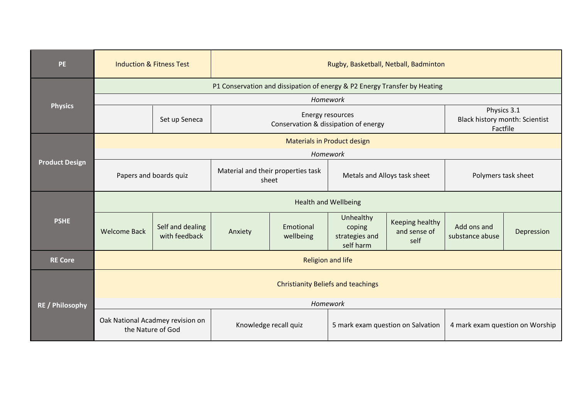| <b>PE</b>              | <b>Induction &amp; Fitness Test</b>                                       |                                   | Rugby, Basketball, Netball, Badminton       |                                                                 |                                                    |                                                |                                                           |            |  |  |
|------------------------|---------------------------------------------------------------------------|-----------------------------------|---------------------------------------------|-----------------------------------------------------------------|----------------------------------------------------|------------------------------------------------|-----------------------------------------------------------|------------|--|--|
| <b>Physics</b>         | P1 Conservation and dissipation of energy & P2 Energy Transfer by Heating |                                   |                                             |                                                                 |                                                    |                                                |                                                           |            |  |  |
|                        | Homework                                                                  |                                   |                                             |                                                                 |                                                    |                                                |                                                           |            |  |  |
|                        |                                                                           | Set up Seneca                     |                                             | <b>Energy resources</b><br>Conservation & dissipation of energy |                                                    |                                                | Physics 3.1<br>Black history month: Scientist<br>Factfile |            |  |  |
|                        |                                                                           |                                   |                                             | <b>Materials in Product design</b>                              |                                                    |                                                |                                                           |            |  |  |
| <b>Product Design</b>  | Homework                                                                  |                                   |                                             |                                                                 |                                                    |                                                |                                                           |            |  |  |
|                        | Papers and boards quiz                                                    |                                   | Material and their properties task<br>sheet |                                                                 | Metals and Alloys task sheet                       |                                                | Polymers task sheet                                       |            |  |  |
|                        | <b>Health and Wellbeing</b>                                               |                                   |                                             |                                                                 |                                                    |                                                |                                                           |            |  |  |
| <b>PSHE</b>            | <b>Welcome Back</b>                                                       | Self and dealing<br>with feedback | Anxiety                                     | Emotional<br>wellbeing                                          | Unhealthy<br>coping<br>strategies and<br>self harm | <b>Keeping healthy</b><br>and sense of<br>self | Add ons and<br>substance abuse                            | Depression |  |  |
| <b>RE Core</b>         |                                                                           | <b>Religion and life</b>          |                                             |                                                                 |                                                    |                                                |                                                           |            |  |  |
| <b>RE / Philosophy</b> | <b>Christianity Beliefs and teachings</b>                                 |                                   |                                             |                                                                 |                                                    |                                                |                                                           |            |  |  |
|                        |                                                                           |                                   |                                             | Homework                                                        |                                                    |                                                |                                                           |            |  |  |
|                        | Oak National Acadmey revision on<br>the Nature of God                     |                                   | Knowledge recall quiz                       |                                                                 | 5 mark exam question on Salvation                  |                                                | 4 mark exam question on Worship                           |            |  |  |